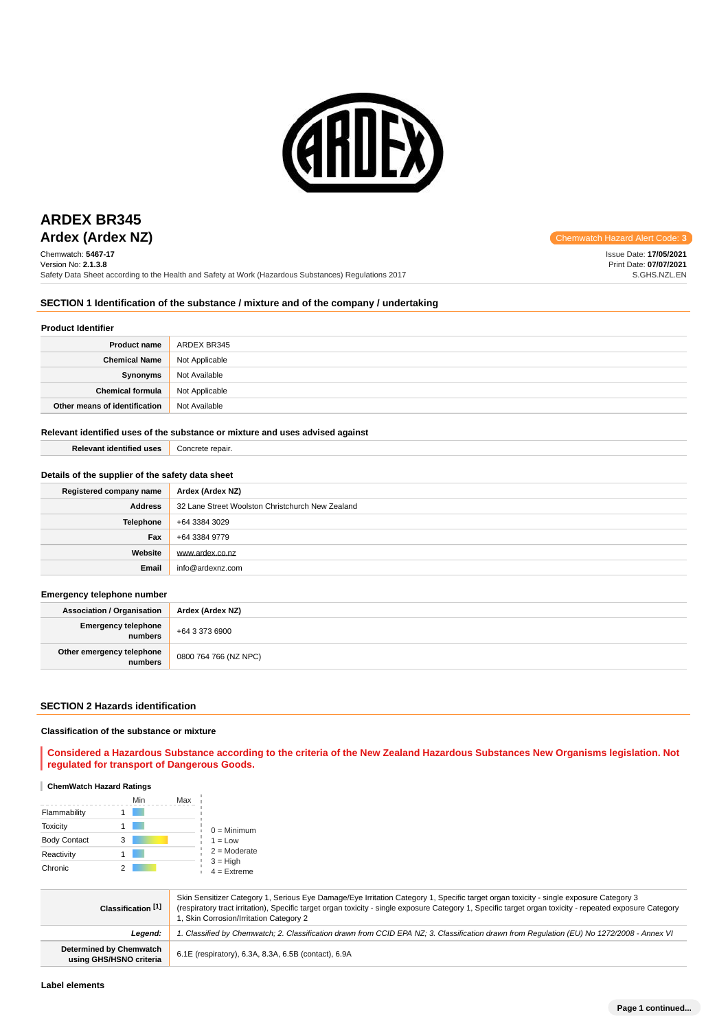

Chemwatch: **5467-17** Version No: **2.1.3.8** Safety Data Sheet according to the Health and Safety at Work (Hazardous Substances) Regulations 2017

**Ardex (Ardex NZ)** Chemwatch Hazard Alert Code: **3** 

Issue Date: **17/05/2021** Print Date: **07/07/2021** S.GHS.NZL.EN

# **SECTION 1 Identification of the substance / mixture and of the company / undertaking**

### **Product Identifier**

| <b>Product name</b>           | ARDEX BR345    |
|-------------------------------|----------------|
| <b>Chemical Name</b>          | Not Applicable |
| Synonyms                      | Not Available  |
| <b>Chemical formula</b>       | Not Applicable |
| Other means of identification | Not Available  |

### **Relevant identified uses of the substance or mixture and uses advised against**

| <b>Relevant identified uses</b>                  | Concrete repair.                                 |
|--------------------------------------------------|--------------------------------------------------|
| Details of the supplier of the safety data sheet |                                                  |
| Registered company name                          | Ardex (Ardex NZ)                                 |
| <b>Address</b>                                   | 32 Lane Street Woolston Christchurch New Zealand |
| Telephone                                        | +64 3384 3029                                    |
| Fax                                              | +64 3384 9779                                    |
| Website                                          | www.ardex.co.nz                                  |
| Email                                            | info@ardexnz.com                                 |

**Emergency telephone number**

| <b>Association / Organisation</b>    | Ardex (Ardex NZ)      |  |
|--------------------------------------|-----------------------|--|
| Emergency telephone<br>numbers       | +64 3 373 6900        |  |
| Other emergency telephone<br>numbers | 0800 764 766 (NZ NPC) |  |

### **SECTION 2 Hazards identification**

### **Classification of the substance or mixture**

**Considered a Hazardous Substance according to the criteria of the New Zealand Hazardous Substances New Organisms legislation. Not regulated for transport of Dangerous Goods.**

### **ChemWatch Hazard Ratings**

|                     |   | Min | Max |                             |
|---------------------|---|-----|-----|-----------------------------|
| Flammability        |   |     |     |                             |
| <b>Toxicity</b>     |   |     |     | $0 =$ Minimum               |
| <b>Body Contact</b> | 3 |     |     | $1 = Low$                   |
| Reactivity          |   |     |     | $2 =$ Moderate              |
| Chronic             |   |     |     | $3 = High$<br>$4 =$ Extreme |

| Classification [1]                                        | Skin Sensitizer Category 1, Serious Eye Damage/Eye Irritation Category 1, Specific target organ toxicity - single exposure Category 3<br>(respiratory tract irritation), Specific target organ toxicity - single exposure Category 1, Specific target organ toxicity - repeated exposure Category<br>1, Skin Corrosion/Irritation Category 2 |
|-----------------------------------------------------------|----------------------------------------------------------------------------------------------------------------------------------------------------------------------------------------------------------------------------------------------------------------------------------------------------------------------------------------------|
| Leaend:                                                   | 1. Classified by Chemwatch; 2. Classification drawn from CCID EPA NZ; 3. Classification drawn from Requlation (EU) No 1272/2008 - Annex VI                                                                                                                                                                                                   |
| <b>Determined by Chemwatch</b><br>using GHS/HSNO criteria | 6.1E (respiratory), 6.3A, 8.3A, 6.5B (contact), 6.9A                                                                                                                                                                                                                                                                                         |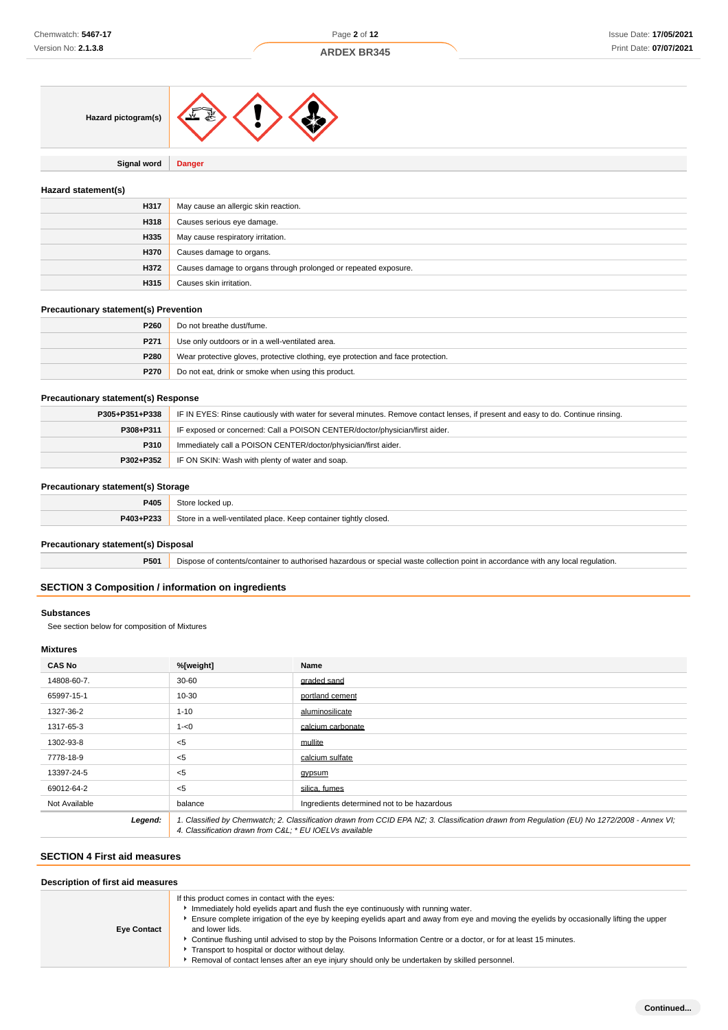

**Signal word Danger**

### **Hazard statement(s)**

| H317 | May cause an allergic skin reaction.                            |
|------|-----------------------------------------------------------------|
| H318 | Causes serious eye damage.                                      |
| H335 | May cause respiratory irritation.                               |
| H370 | Causes damage to organs.                                        |
| H372 | Causes damage to organs through prolonged or repeated exposure. |
| H315 | Causes skin irritation.                                         |

### **Precautionary statement(s) Prevention**

| P260 | Do not breathe dust/fume.                                                        |
|------|----------------------------------------------------------------------------------|
| P271 | Use only outdoors or in a well-ventilated area.                                  |
| P280 | Wear protective gloves, protective clothing, eye protection and face protection. |
| P270 | Do not eat, drink or smoke when using this product.                              |

### **Precautionary statement(s) Response**

| P305+P351+P338 | IF IN EYES: Rinse cautiously with water for several minutes. Remove contact lenses, if present and easy to do. Continue rinsing. |
|----------------|----------------------------------------------------------------------------------------------------------------------------------|
| P308+P311      | IF exposed or concerned: Call a POISON CENTER/doctor/physician/first aider.                                                      |
| P310           | Immediately call a POISON CENTER/doctor/physician/first aider.                                                                   |
| P302+P352      | IF ON SKIN: Wash with plenty of water and soap.                                                                                  |

### **Precautionary statement(s) Storage**

|           | .                                                                                   |
|-----------|-------------------------------------------------------------------------------------|
| P405      |                                                                                     |
| P403+P233 | Store in<br>n a well-ventilated place. Keep container *<br>/ closed.<br>' tiahtiv c |
|           |                                                                                     |

### **Precautionary statement(s) Disposal**

**P501** Dispose of contents/container to authorised hazardous or special waste collection point in accordance with any local regulation.

### **SECTION 3 Composition / information on ingredients**

### **Substances**

See section below for composition of Mixtures

# **Mixtures**

| <b>CAS No</b> | %[weight]                                                                                                                                                                                              | Name                                       |
|---------------|--------------------------------------------------------------------------------------------------------------------------------------------------------------------------------------------------------|--------------------------------------------|
| 14808-60-7.   | $30 - 60$                                                                                                                                                                                              | graded sand                                |
| 65997-15-1    | 10-30                                                                                                                                                                                                  | portland cement                            |
| 1327-36-2     | $1 - 10$                                                                                                                                                                                               | aluminosilicate                            |
| 1317-65-3     | $1 - 0$                                                                                                                                                                                                | calcium carbonate                          |
| 1302-93-8     | $<$ 5                                                                                                                                                                                                  | mullite                                    |
| 7778-18-9     | $<$ 5                                                                                                                                                                                                  | calcium sulfate                            |
| 13397-24-5    | $<$ 5                                                                                                                                                                                                  | gypsum                                     |
| 69012-64-2    | $<$ 5                                                                                                                                                                                                  | silica. fumes                              |
| Not Available | balance                                                                                                                                                                                                | Ingredients determined not to be hazardous |
| Legend:       | 1. Classified by Chemwatch; 2. Classification drawn from CCID EPA NZ; 3. Classification drawn from Requlation (EU) No 1272/2008 - Annex VI;<br>4. Classification drawn from C&L * EU IOEL Vs available |                                            |

# **SECTION 4 First aid measures**

| Description of first aid measures |                                                                                                                                                                                                                                                                                                                                                                                                                                                                                                                                                                                   |  |  |
|-----------------------------------|-----------------------------------------------------------------------------------------------------------------------------------------------------------------------------------------------------------------------------------------------------------------------------------------------------------------------------------------------------------------------------------------------------------------------------------------------------------------------------------------------------------------------------------------------------------------------------------|--|--|
| <b>Eye Contact</b>                | If this product comes in contact with the eyes:<br>Immediately hold eyelids apart and flush the eye continuously with running water.<br>Ensure complete irrigation of the eye by keeping eyelids apart and away from eye and moving the eyelids by occasionally lifting the upper<br>and lower lids.<br>▶ Continue flushing until advised to stop by the Poisons Information Centre or a doctor, or for at least 15 minutes.<br>Transport to hospital or doctor without delay.<br>▶ Removal of contact lenses after an eye injury should only be undertaken by skilled personnel. |  |  |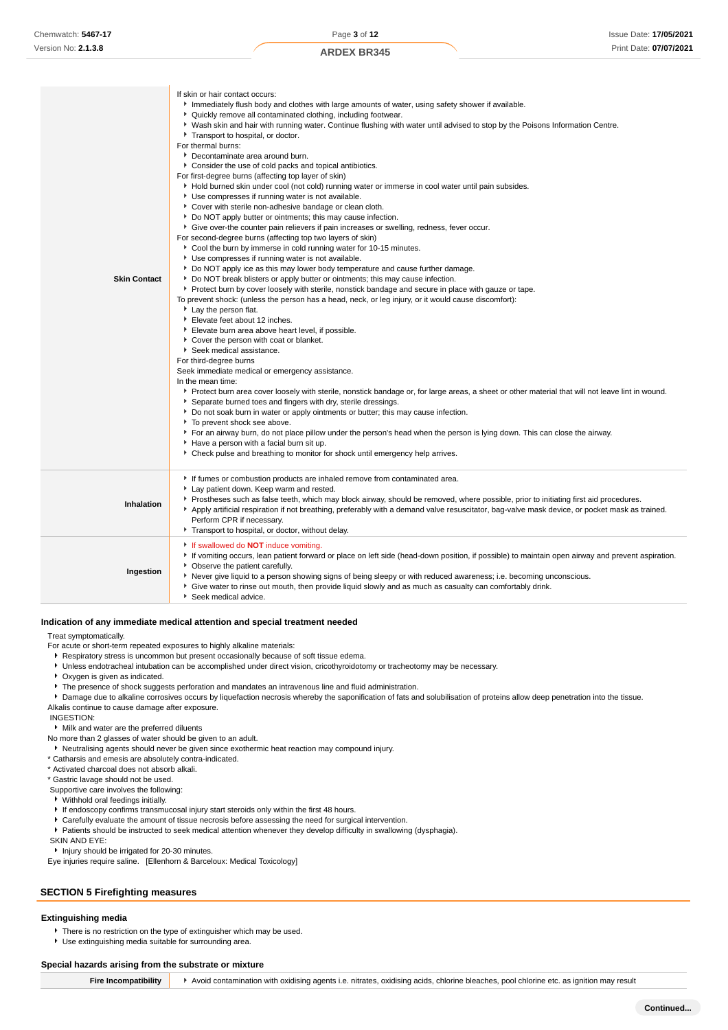| <b>Skin Contact</b> | Immediately flush body and clothes with large amounts of water, using safety shower if available.<br>• Quickly remove all contaminated clothing, including footwear.<br>• Wash skin and hair with running water. Continue flushing with water until advised to stop by the Poisons Information Centre.<br>Transport to hospital, or doctor.<br>For thermal burns:<br>Decontaminate area around burn.<br>• Consider the use of cold packs and topical antibiotics.<br>For first-degree burns (affecting top layer of skin)<br>Hold burned skin under cool (not cold) running water or immerse in cool water until pain subsides.<br>Use compresses if running water is not available.<br>Cover with sterile non-adhesive bandage or clean cloth.<br>Do NOT apply butter or ointments; this may cause infection.<br>• Give over-the counter pain relievers if pain increases or swelling, redness, fever occur.<br>For second-degree burns (affecting top two layers of skin)<br>Cool the burn by immerse in cold running water for 10-15 minutes.<br>Use compresses if running water is not available.<br>▶ Do NOT apply ice as this may lower body temperature and cause further damage.<br>▶ Do NOT break blisters or apply butter or ointments; this may cause infection.<br>▶ Protect burn by cover loosely with sterile, nonstick bandage and secure in place with gauze or tape.<br>To prevent shock: (unless the person has a head, neck, or leg injury, or it would cause discomfort):<br>Lay the person flat.<br>Elevate feet about 12 inches.<br>Elevate burn area above heart level, if possible.<br>Cover the person with coat or blanket.<br>Seek medical assistance.<br>For third-degree burns<br>Seek immediate medical or emergency assistance.<br>In the mean time:<br>> Protect burn area cover loosely with sterile, nonstick bandage or, for large areas, a sheet or other material that will not leave lint in wound.<br>Separate burned toes and fingers with dry, sterile dressings.<br>▶ Do not soak burn in water or apply ointments or butter; this may cause infection.<br>To prevent shock see above.<br>For an airway burn, do not place pillow under the person's head when the person is lying down. This can close the airway.<br>Have a person with a facial burn sit up.<br>▶ Check pulse and breathing to monitor for shock until emergency help arrives. |
|---------------------|---------------------------------------------------------------------------------------------------------------------------------------------------------------------------------------------------------------------------------------------------------------------------------------------------------------------------------------------------------------------------------------------------------------------------------------------------------------------------------------------------------------------------------------------------------------------------------------------------------------------------------------------------------------------------------------------------------------------------------------------------------------------------------------------------------------------------------------------------------------------------------------------------------------------------------------------------------------------------------------------------------------------------------------------------------------------------------------------------------------------------------------------------------------------------------------------------------------------------------------------------------------------------------------------------------------------------------------------------------------------------------------------------------------------------------------------------------------------------------------------------------------------------------------------------------------------------------------------------------------------------------------------------------------------------------------------------------------------------------------------------------------------------------------------------------------------------------------------------------------------------------------------------------------------------------------------------------------------------------------------------------------------------------------------------------------------------------------------------------------------------------------------------------------------------------------------------------------------------------------------------------------------------------------------------------------------------------------------------------------------------------------------|
| Inhalation          | If fumes or combustion products are inhaled remove from contaminated area.<br>Lay patient down. Keep warm and rested.<br>▶ Prostheses such as false teeth, which may block airway, should be removed, where possible, prior to initiating first aid procedures.<br>Apply artificial respiration if not breathing, preferably with a demand valve resuscitator, bag-valve mask device, or pocket mask as trained.<br>Perform CPR if necessary.<br>Transport to hospital, or doctor, without delay.                                                                                                                                                                                                                                                                                                                                                                                                                                                                                                                                                                                                                                                                                                                                                                                                                                                                                                                                                                                                                                                                                                                                                                                                                                                                                                                                                                                                                                                                                                                                                                                                                                                                                                                                                                                                                                                                                           |
| Ingestion           | If swallowed do <b>NOT</b> induce vomiting.<br>If vomiting occurs, lean patient forward or place on left side (head-down position, if possible) to maintain open airway and prevent aspiration.<br>• Observe the patient carefully.<br>Never give liquid to a person showing signs of being sleepy or with reduced awareness; i.e. becoming unconscious.<br>• Give water to rinse out mouth, then provide liquid slowly and as much as casualty can comfortably drink.<br>Seek medical advice.                                                                                                                                                                                                                                                                                                                                                                                                                                                                                                                                                                                                                                                                                                                                                                                                                                                                                                                                                                                                                                                                                                                                                                                                                                                                                                                                                                                                                                                                                                                                                                                                                                                                                                                                                                                                                                                                                              |

### **Indication of any immediate medical attention and special treatment needed**

Treat symptomatically.

For acute or short-term repeated exposures to highly alkaline materials:

- **Respiratory stress is uncommon but present occasionally because of soft tissue edema.**
- Unless endotracheal intubation can be accomplished under direct vision, cricothyroidotomy or tracheotomy may be necessary.
- Oxygen is given as indicated.
- The presence of shock suggests perforation and mandates an intravenous line and fluid administration.

If skin or hair contact occurs:

- **Damage due to alkaline corrosives occurs by liquefaction necrosis whereby the saponification of fats and solubilisation of proteins allow deep penetration into the tissue.**
- Alkalis continue to cause damage after exposure.

INGESTION:

- Milk and water are the preferred diluents
- No more than 2 glasses of water should be given to an adult.
- Neutralising agents should never be given since exothermic heat reaction may compound injury.
- \* Catharsis and emesis are absolutely contra-indicated.
- \* Activated charcoal does not absorb alkali.
- \* Gastric lavage should not be used.
- Supportive care involves the following:
- Withhold oral feedings initially.
- If endoscopy confirms transmucosal injury start steroids only within the first 48 hours.
- Carefully evaluate the amount of tissue necrosis before assessing the need for surgical intervention.
- Patients should be instructed to seek medical attention whenever they develop difficulty in swallowing (dysphagia).

 SKIN AND EYE: **Injury should be irrigated for 20-30 minutes.** 

Eye injuries require saline. [Ellenhorn & Barceloux: Medical Toxicology]

# **SECTION 5 Firefighting measures**

### **Extinguishing media**

- There is no restriction on the type of extinguisher which may be used.
- Use extinguishing media suitable for surrounding area.

### **Special hazards arising from the substrate or mixture**

**Fire Incompatibility** > Avoid contamination with oxidising agents i.e. nitrates, oxidising acids, chlorine bleaches, pool chlorine etc. as ignition may result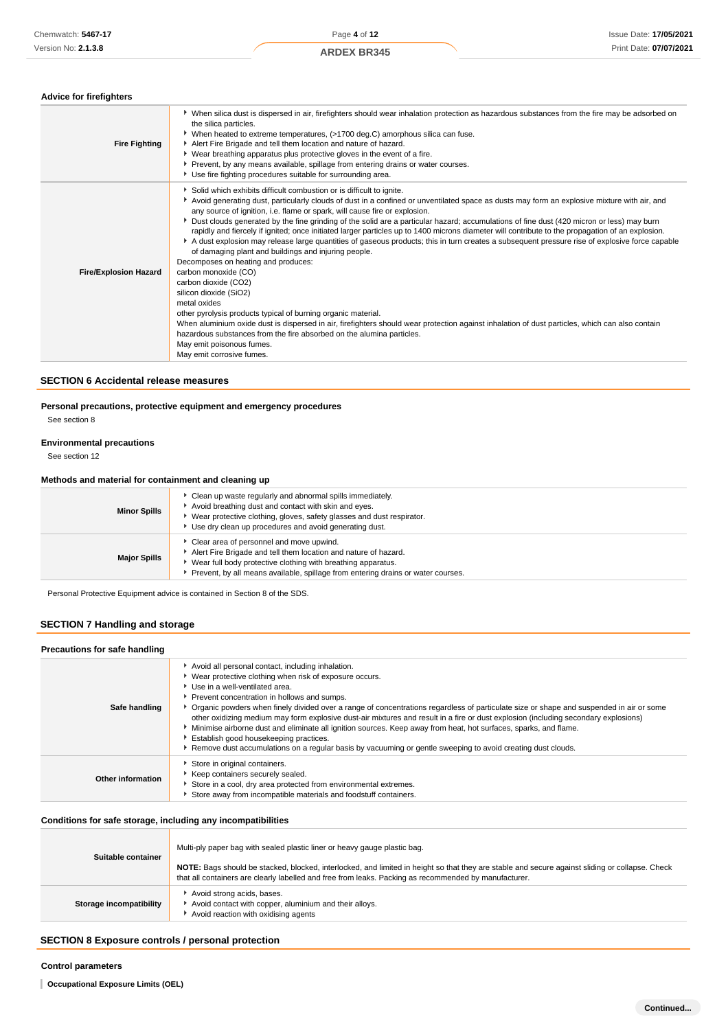| <b>Fire Fighting</b>         | ▶ When silica dust is dispersed in air, firefighters should wear inhalation protection as hazardous substances from the fire may be adsorbed on<br>the silica particles.<br>▶ When heated to extreme temperatures, (>1700 deg.C) amorphous silica can fuse.<br>Alert Fire Brigade and tell them location and nature of hazard.<br>• Wear breathing apparatus plus protective gloves in the event of a fire.<br>▶ Prevent, by any means available, spillage from entering drains or water courses.<br>Use fire fighting procedures suitable for surrounding area.                                                                                                                                                                                                                                                                                                                                                                                                                                                                                                                                                                                                                                                                                                                                      |
|------------------------------|-------------------------------------------------------------------------------------------------------------------------------------------------------------------------------------------------------------------------------------------------------------------------------------------------------------------------------------------------------------------------------------------------------------------------------------------------------------------------------------------------------------------------------------------------------------------------------------------------------------------------------------------------------------------------------------------------------------------------------------------------------------------------------------------------------------------------------------------------------------------------------------------------------------------------------------------------------------------------------------------------------------------------------------------------------------------------------------------------------------------------------------------------------------------------------------------------------------------------------------------------------------------------------------------------------|
| <b>Fire/Explosion Hazard</b> | Solid which exhibits difficult combustion or is difficult to ignite.<br>Avoid generating dust, particularly clouds of dust in a confined or unventilated space as dusts may form an explosive mixture with air, and<br>any source of ignition, i.e. flame or spark, will cause fire or explosion.<br>▶ Dust clouds generated by the fine grinding of the solid are a particular hazard; accumulations of fine dust (420 micron or less) may burn<br>rapidly and fiercely if ignited; once initiated larger particles up to 1400 microns diameter will contribute to the propagation of an explosion.<br>A dust explosion may release large quantities of gaseous products; this in turn creates a subsequent pressure rise of explosive force capable<br>of damaging plant and buildings and injuring people.<br>Decomposes on heating and produces:<br>carbon monoxide (CO)<br>carbon dioxide (CO2)<br>silicon dioxide (SiO2)<br>metal oxides<br>other pyrolysis products typical of burning organic material.<br>When aluminium oxide dust is dispersed in air, firefighters should wear protection against inhalation of dust particles, which can also contain<br>hazardous substances from the fire absorbed on the alumina particles.<br>May emit poisonous fumes.<br>May emit corrosive fumes. |

### **SECTION 6 Accidental release measures**

**Personal precautions, protective equipment and emergency procedures**

See section 8

### **Environmental precautions**

See section 12

#### **Methods and material for containment and cleaning up**

| <b>Minor Spills</b> | Clean up waste regularly and abnormal spills immediately.<br>Avoid breathing dust and contact with skin and eyes.<br>Wear protective clothing, gloves, safety glasses and dust respirator.<br>Use dry clean up procedures and avoid generating dust.              |
|---------------------|-------------------------------------------------------------------------------------------------------------------------------------------------------------------------------------------------------------------------------------------------------------------|
| <b>Major Spills</b> | Clear area of personnel and move upwind.<br>Alert Fire Brigade and tell them location and nature of hazard.<br>► Wear full body protective clothing with breathing apparatus.<br>Prevent, by all means available, spillage from entering drains or water courses. |

Personal Protective Equipment advice is contained in Section 8 of the SDS.

# **SECTION 7 Handling and storage**

#### **Precautions for safe handling** Avoid all personal contact, including inhalation. ¥. Wear protective clothing when risk of exposure occurs. Use in a well-ventilated area. **Prevent concentration in hollows and sumps. Safe handling** Organic powders when finely divided over a range of concentrations regardless of particulate size or shape and suspended in air or some other oxidizing medium may form explosive dust-air mixtures and result in a fire or dust explosion (including secondary explosions) Minimise airborne dust and eliminate all ignition sources. Keep away from heat, hot surfaces, sparks, and flame. Establish good housekeeping practices. Remove dust accumulations on a regular basis by vacuuming or gentle sweeping to avoid creating dust clouds. Store in original containers.  $\blacktriangleright$  Keep containers securely sealed. **Other information** Store in a cool, dry area protected from environmental extremes. Store away from incompatible materials and foodstuff containers.

### **Conditions for safe storage, including any incompatibilities**

| Suitable container      | Multi-ply paper bag with sealed plastic liner or heavy gauge plastic bag.<br>NOTE: Bags should be stacked, blocked, interlocked, and limited in height so that they are stable and secure against sliding or collapse. Check |
|-------------------------|------------------------------------------------------------------------------------------------------------------------------------------------------------------------------------------------------------------------------|
|                         | that all containers are clearly labelled and free from leaks. Packing as recommended by manufacturer.                                                                                                                        |
| Storage incompatibility | Avoid strong acids, bases.<br>Avoid contact with copper, aluminium and their alloys.<br>Avoid reaction with oxidising agents                                                                                                 |

### **SECTION 8 Exposure controls / personal protection**

### **Control parameters**

**Occupational Exposure Limits (OEL)**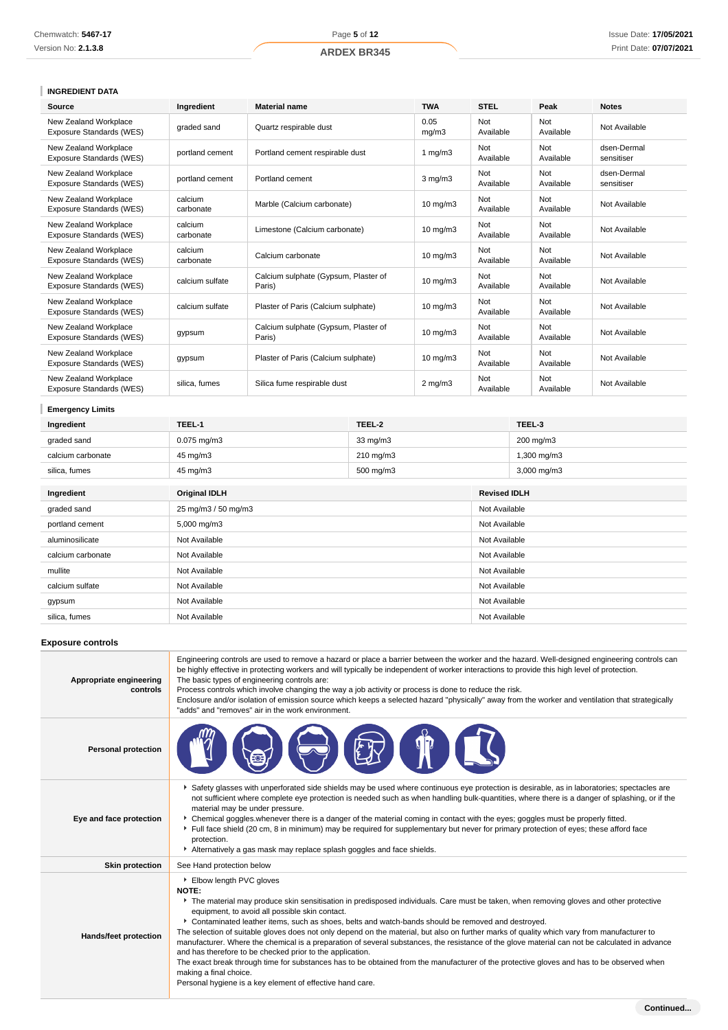# **INGREDIENT DATA**

| <b>Source</b>                                     | Ingredient           | <b>Material name</b>                           | <b>TWA</b>        | <b>STEL</b>      | Peak             | <b>Notes</b>              |
|---------------------------------------------------|----------------------|------------------------------------------------|-------------------|------------------|------------------|---------------------------|
| New Zealand Workplace<br>Exposure Standards (WES) | graded sand          | Quartz respirable dust                         | 0.05<br>mq/m3     | Not<br>Available | Not<br>Available | Not Available             |
| New Zealand Workplace<br>Exposure Standards (WES) | portland cement      | Portland cement respirable dust                | 1 $mq/m3$         | Not<br>Available | Not<br>Available | dsen-Dermal<br>sensitiser |
| New Zealand Workplace<br>Exposure Standards (WES) | portland cement      | Portland cement                                | $3$ mg/m $3$      | Not<br>Available | Not<br>Available | dsen-Dermal<br>sensitiser |
| New Zealand Workplace<br>Exposure Standards (WES) | calcium<br>carbonate | Marble (Calcium carbonate)                     | $10 \text{ mg/m}$ | Not<br>Available | Not<br>Available | Not Available             |
| New Zealand Workplace<br>Exposure Standards (WES) | calcium<br>carbonate | Limestone (Calcium carbonate)                  | $10 \text{ mg/m}$ | Not<br>Available | Not<br>Available | Not Available             |
| New Zealand Workplace<br>Exposure Standards (WES) | calcium<br>carbonate | Calcium carbonate                              | $10 \text{ mg/m}$ | Not<br>Available | Not<br>Available | Not Available             |
| New Zealand Workplace<br>Exposure Standards (WES) | calcium sulfate      | Calcium sulphate (Gypsum, Plaster of<br>Paris) | $10 \text{ mg/m}$ | Not<br>Available | Not<br>Available | Not Available             |
| New Zealand Workplace<br>Exposure Standards (WES) | calcium sulfate      | Plaster of Paris (Calcium sulphate)            | $10 \text{ mg/m}$ | Not<br>Available | Not<br>Available | Not Available             |
| New Zealand Workplace<br>Exposure Standards (WES) | gypsum               | Calcium sulphate (Gypsum, Plaster of<br>Paris) | $10$ mg/m $3$     | Not<br>Available | Not<br>Available | Not Available             |
| New Zealand Workplace<br>Exposure Standards (WES) | gypsum               | Plaster of Paris (Calcium sulphate)            | $10 \text{ mg/m}$ | Not<br>Available | Not<br>Available | Not Available             |
| New Zealand Workplace<br>Exposure Standards (WES) | silica, fumes        | Silica fume respirable dust                    | $2 \text{ mg/m}$  | Not<br>Available | Not<br>Available | Not Available             |

# **Emergency Limits**

| Ingredient        | TEEL-1                   | TEEL-2             | TEEL-3                  |
|-------------------|--------------------------|--------------------|-------------------------|
| graded sand       | $0.075 \,\mathrm{mq/m3}$ | $33 \text{ mg/m}$  | 200 mg/m3               |
| calcium carbonate | 45 mg/m3                 | $210 \text{ mg/m}$ | $1,300 \text{ mg/m}$ 3  |
| silica, fumes     | 45 mg/m3                 | 500 mg/m3          | $3,000 \,\mathrm{mg/m}$ |
|                   |                          |                    |                         |

| Ingredient        | <b>Original IDLH</b> | <b>Revised IDLH</b> |
|-------------------|----------------------|---------------------|
| graded sand       | 25 mg/m3 / 50 mg/m3  | Not Available       |
| portland cement   | 5,000 mg/m3          | Not Available       |
| aluminosilicate   | Not Available        | Not Available       |
| calcium carbonate | Not Available        | Not Available       |
| mullite           | Not Available        | Not Available       |
| calcium sulfate   | Not Available        | Not Available       |
| gypsum            | Not Available        | Not Available       |
| silica, fumes     | Not Available        | Not Available       |

### **Exposure controls**

| Appropriate engineering<br>controls | Engineering controls are used to remove a hazard or place a barrier between the worker and the hazard. Well-designed engineering controls can<br>be highly effective in protecting workers and will typically be independent of worker interactions to provide this high level of protection.<br>The basic types of engineering controls are:<br>Process controls which involve changing the way a job activity or process is done to reduce the risk.<br>Enclosure and/or isolation of emission source which keeps a selected hazard "physically" away from the worker and ventilation that strategically<br>"adds" and "removes" air in the work environment.                                                                                                                                                                                                                                                                      |
|-------------------------------------|--------------------------------------------------------------------------------------------------------------------------------------------------------------------------------------------------------------------------------------------------------------------------------------------------------------------------------------------------------------------------------------------------------------------------------------------------------------------------------------------------------------------------------------------------------------------------------------------------------------------------------------------------------------------------------------------------------------------------------------------------------------------------------------------------------------------------------------------------------------------------------------------------------------------------------------|
| <b>Personal protection</b>          |                                                                                                                                                                                                                                                                                                                                                                                                                                                                                                                                                                                                                                                                                                                                                                                                                                                                                                                                      |
| Eye and face protection             | Safety glasses with unperforated side shields may be used where continuous eye protection is desirable, as in laboratories; spectacles are<br>not sufficient where complete eye protection is needed such as when handling bulk-quantities, where there is a danger of splashing, or if the<br>material may be under pressure.<br>• Chemical goggles whenever there is a danger of the material coming in contact with the eyes; goggles must be properly fitted.<br>Full face shield (20 cm, 8 in minimum) may be required for supplementary but never for primary protection of eyes; these afford face<br>protection.<br>Alternatively a gas mask may replace splash goggles and face shields.                                                                                                                                                                                                                                    |
| <b>Skin protection</b>              | See Hand protection below                                                                                                                                                                                                                                                                                                                                                                                                                                                                                                                                                                                                                                                                                                                                                                                                                                                                                                            |
| <b>Hands/feet protection</b>        | Elbow length PVC gloves<br>NOTE:<br>The material may produce skin sensitisation in predisposed individuals. Care must be taken, when removing gloves and other protective<br>equipment, to avoid all possible skin contact.<br>▶ Contaminated leather items, such as shoes, belts and watch-bands should be removed and destroyed.<br>The selection of suitable gloves does not only depend on the material, but also on further marks of quality which vary from manufacturer to<br>manufacturer. Where the chemical is a preparation of several substances, the resistance of the glove material can not be calculated in advance<br>and has therefore to be checked prior to the application.<br>The exact break through time for substances has to be obtained from the manufacturer of the protective gloves and has to be observed when<br>making a final choice.<br>Personal hygiene is a key element of effective hand care. |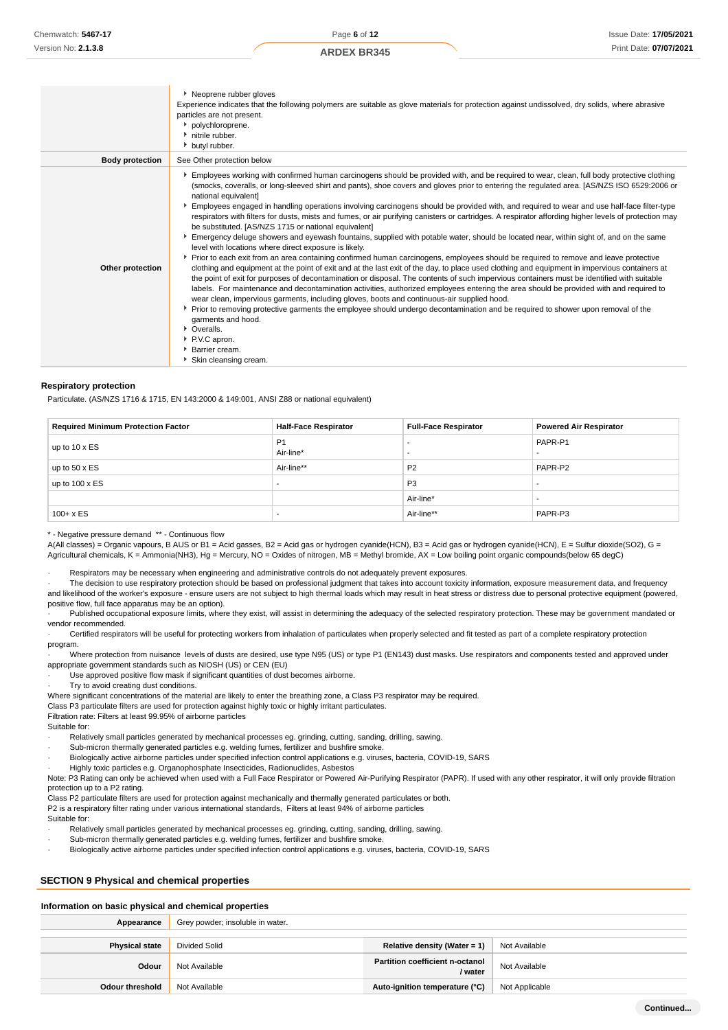|                        | Neoprene rubber gloves<br>Experience indicates that the following polymers are suitable as glove materials for protection against undissolved, dry solids, where abrasive<br>particles are not present.<br>polychloroprene.<br>h nitrile rubber.<br>butyl rubber.                                                                                                                                                                                                                                                                                                                                                                                                                                                                                                                                                                                                                                                                                                                                                                                                                                                                                                                                                                                                                                                                                                                                                                                                                                                                                                                                                                                                                                                                                                               |
|------------------------|---------------------------------------------------------------------------------------------------------------------------------------------------------------------------------------------------------------------------------------------------------------------------------------------------------------------------------------------------------------------------------------------------------------------------------------------------------------------------------------------------------------------------------------------------------------------------------------------------------------------------------------------------------------------------------------------------------------------------------------------------------------------------------------------------------------------------------------------------------------------------------------------------------------------------------------------------------------------------------------------------------------------------------------------------------------------------------------------------------------------------------------------------------------------------------------------------------------------------------------------------------------------------------------------------------------------------------------------------------------------------------------------------------------------------------------------------------------------------------------------------------------------------------------------------------------------------------------------------------------------------------------------------------------------------------------------------------------------------------------------------------------------------------|
| <b>Body protection</b> | See Other protection below                                                                                                                                                                                                                                                                                                                                                                                                                                                                                                                                                                                                                                                                                                                                                                                                                                                                                                                                                                                                                                                                                                                                                                                                                                                                                                                                                                                                                                                                                                                                                                                                                                                                                                                                                      |
| Other protection       | Employees working with confirmed human carcinogens should be provided with, and be required to wear, clean, full body protective clothing<br>(smocks, coveralls, or long-sleeved shirt and pants), shoe covers and gloves prior to entering the regulated area. [AS/NZS ISO 6529:2006 or<br>national equivalent]<br>Employees engaged in handling operations involving carcinogens should be provided with, and required to wear and use half-face filter-type<br>respirators with filters for dusts, mists and fumes, or air purifying canisters or cartridges. A respirator affording higher levels of protection may<br>be substituted. [AS/NZS 1715 or national equivalent]<br>Emergency deluge showers and eyewash fountains, supplied with potable water, should be located near, within sight of, and on the same<br>level with locations where direct exposure is likely.<br>▶ Prior to each exit from an area containing confirmed human carcinogens, employees should be required to remove and leave protective<br>clothing and equipment at the point of exit and at the last exit of the day, to place used clothing and equipment in impervious containers at<br>the point of exit for purposes of decontamination or disposal. The contents of such impervious containers must be identified with suitable<br>labels. For maintenance and decontamination activities, authorized employees entering the area should be provided with and required to<br>wear clean, impervious garments, including gloves, boots and continuous-air supplied hood.<br>▶ Prior to removing protective garments the employee should undergo decontamination and be required to shower upon removal of the<br>garments and hood.<br>• Overalls.<br>P.V.C apron.<br>▶ Barrier cream. |

Skin cleansing cream.

#### **Respiratory protection**

Particulate. (AS/NZS 1716 & 1715, EN 143:2000 & 149:001, ANSI Z88 or national equivalent)

| <b>Required Minimum Protection Factor</b> | <b>Half-Face Respirator</b> | <b>Full-Face Respirator</b> | <b>Powered Air Respirator</b> |
|-------------------------------------------|-----------------------------|-----------------------------|-------------------------------|
| up to $10 \times ES$                      | P <sub>1</sub><br>Air-line* |                             | PAPR-P1                       |
| up to $50 \times ES$                      | Air-line**                  | P <sub>2</sub>              | PAPR-P2                       |
| up to $100 \times ES$                     |                             | P <sub>3</sub>              |                               |
|                                           |                             | Air-line*                   | -                             |
| $100 + x ES$                              |                             | Air-line**                  | PAPR-P3                       |

\* - Negative pressure demand \*\* - Continuous flow

A(All classes) = Organic vapours, B AUS or B1 = Acid gasses, B2 = Acid gas or hydrogen cyanide(HCN), B3 = Acid gas or hydrogen cyanide(HCN), E = Sulfur dioxide(SO2), G = Agricultural chemicals, K = Ammonia(NH3), Hg = Mercury, NO = Oxides of nitrogen, MB = Methyl bromide, AX = Low boiling point organic compounds(below 65 degC)

Respirators may be necessary when engineering and administrative controls do not adequately prevent exposures.

· The decision to use respiratory protection should be based on professional judgment that takes into account toxicity information, exposure measurement data, and frequency and likelihood of the worker's exposure - ensure users are not subject to high thermal loads which may result in heat stress or distress due to personal protective equipment (powered, positive flow, full face apparatus may be an option).

Published occupational exposure limits, where they exist, will assist in determining the adequacy of the selected respiratory protection. These may be government mandated or vendor recommended.

· Certified respirators will be useful for protecting workers from inhalation of particulates when properly selected and fit tested as part of a complete respiratory protection program.

· Where protection from nuisance levels of dusts are desired, use type N95 (US) or type P1 (EN143) dust masks. Use respirators and components tested and approved under appropriate government standards such as NIOSH (US) or CEN (EU)

Use approved positive flow mask if significant quantities of dust becomes airborne.

Try to avoid creating dust conditions.

Where significant concentrations of the material are likely to enter the breathing zone, a Class P3 respirator may be required.

Class P3 particulate filters are used for protection against highly toxic or highly irritant particulates.

Filtration rate: Filters at least 99.95% of airborne particles

Suitable for:

- Relatively small particles generated by mechanical processes eg. grinding, cutting, sanding, drilling, sawing.
- Sub-micron thermally generated particles e.g. welding fumes, fertilizer and bushfire smoke · Biologically active airborne particles under specified infection control applications e.g. viruses, bacteria, COVID-19, SARS
- · Highly toxic particles e.g. Organophosphate Insecticides, Radionuclides, Asbestos

Note: P3 Rating can only be achieved when used with a Full Face Respirator or Powered Air-Purifying Respirator (PAPR). If used with any other respirator, it will only provide filtration protection up to a P2 rating.

Class P2 particulate filters are used for protection against mechanically and thermally generated particulates or both.

P2 is a respiratory filter rating under various international standards, Filters at least 94% of airborne particles

Suitable for:

- Relatively small particles generated by mechanical processes eg. grinding, cutting, sanding, drilling, sawing.
- Sub-micron thermally generated particles e.g. welding fumes, fertilizer and bushfire smoke.
- · Biologically active airborne particles under specified infection control applications e.g. viruses, bacteria, COVID-19, SARS

# **SECTION 9 Physical and chemical properties**

### **Information on basic physical and chemical properties**

| Appearance             | Grey powder; insoluble in water. |                                                   |                |
|------------------------|----------------------------------|---------------------------------------------------|----------------|
| <b>Physical state</b>  | <b>Divided Solid</b>             | Relative density (Water = 1)                      | Not Available  |
| Odour                  | Not Available                    | <b>Partition coefficient n-octanol</b><br>/ water | Not Available  |
| <b>Odour threshold</b> | Not Available                    | Auto-ignition temperature (°C)                    | Not Applicable |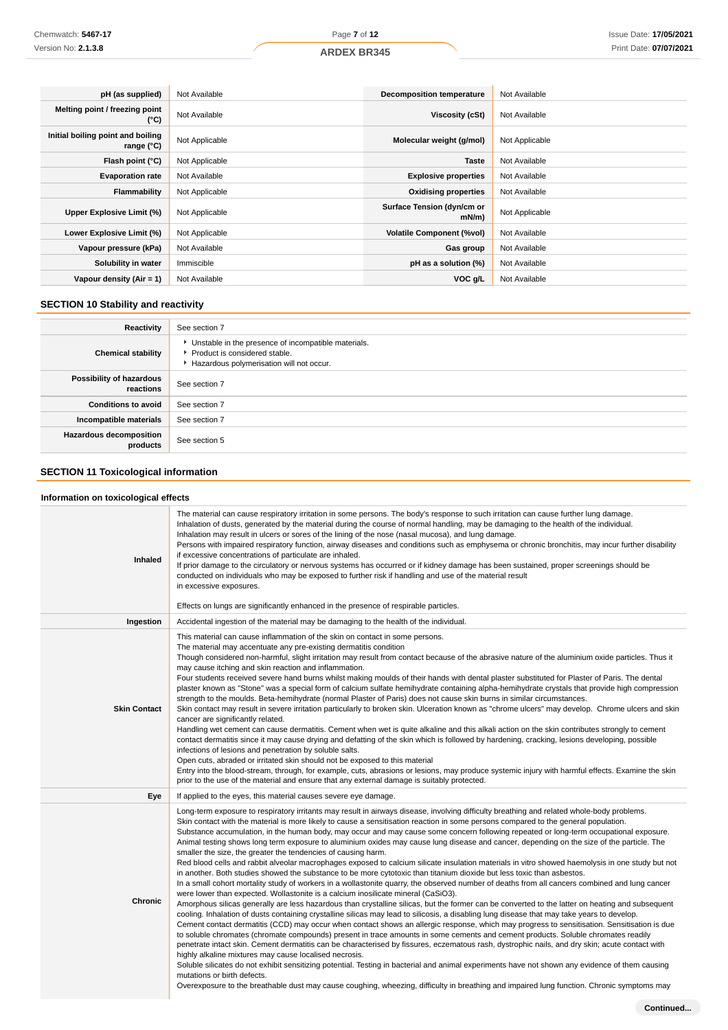| pH (as supplied)                                         | Not Available  | <b>Decomposition temperature</b>       | Not Available  |
|----------------------------------------------------------|----------------|----------------------------------------|----------------|
| Melting point / freezing point<br>(°C)                   | Not Available  | Viscosity (cSt)                        | Not Available  |
| Initial boiling point and boiling<br>range $(^{\circ}C)$ | Not Applicable | Molecular weight (g/mol)               | Not Applicable |
| Flash point (°C)                                         | Not Applicable | <b>Taste</b>                           | Not Available  |
| <b>Evaporation rate</b>                                  | Not Available  | <b>Explosive properties</b>            | Not Available  |
| Flammability                                             | Not Applicable | <b>Oxidising properties</b>            | Not Available  |
| Upper Explosive Limit (%)                                | Not Applicable | Surface Tension (dyn/cm or<br>$mN/m$ ) | Not Applicable |
| Lower Explosive Limit (%)                                | Not Applicable | <b>Volatile Component (%vol)</b>       | Not Available  |
| Vapour pressure (kPa)                                    | Not Available  | Gas group                              | Not Available  |
| Solubility in water                                      | Immiscible     | pH as a solution (%)                   | Not Available  |
| Vapour density (Air = 1)                                 | Not Available  | VOC g/L                                | Not Available  |

# **SECTION 10 Stability and reactivity**

| Reactivity                                 | See section 7                                                                                                                        |
|--------------------------------------------|--------------------------------------------------------------------------------------------------------------------------------------|
| <b>Chemical stability</b>                  | • Unstable in the presence of incompatible materials.<br>▶ Product is considered stable.<br>Hazardous polymerisation will not occur. |
| Possibility of hazardous<br>reactions      | See section 7                                                                                                                        |
| <b>Conditions to avoid</b>                 | See section 7                                                                                                                        |
| Incompatible materials                     | See section 7                                                                                                                        |
| <b>Hazardous decomposition</b><br>products | See section 5                                                                                                                        |

# **SECTION 11 Toxicological information**

### **Information on toxicological effects**

| Inhaled             | The material can cause respiratory irritation in some persons. The body's response to such irritation can cause further lung damage.<br>Inhalation of dusts, generated by the material during the course of normal handling, may be damaging to the health of the individual.<br>Inhalation may result in ulcers or sores of the lining of the nose (nasal mucosa), and lung damage.<br>Persons with impaired respiratory function, airway diseases and conditions such as emphysema or chronic bronchitis, may incur further disability<br>if excessive concentrations of particulate are inhaled.<br>If prior damage to the circulatory or nervous systems has occurred or if kidney damage has been sustained, proper screenings should be<br>conducted on individuals who may be exposed to further risk if handling and use of the material result<br>in excessive exposures.<br>Effects on lungs are significantly enhanced in the presence of respirable particles.                                                                                                                                                                                                                                                                                                                                                                                                                                                                                                                                                                                                                                                                                                                                                                                                                                                                                                                                                                                                                                                                                                                                                                                                                                                                                                                         |
|---------------------|----------------------------------------------------------------------------------------------------------------------------------------------------------------------------------------------------------------------------------------------------------------------------------------------------------------------------------------------------------------------------------------------------------------------------------------------------------------------------------------------------------------------------------------------------------------------------------------------------------------------------------------------------------------------------------------------------------------------------------------------------------------------------------------------------------------------------------------------------------------------------------------------------------------------------------------------------------------------------------------------------------------------------------------------------------------------------------------------------------------------------------------------------------------------------------------------------------------------------------------------------------------------------------------------------------------------------------------------------------------------------------------------------------------------------------------------------------------------------------------------------------------------------------------------------------------------------------------------------------------------------------------------------------------------------------------------------------------------------------------------------------------------------------------------------------------------------------------------------------------------------------------------------------------------------------------------------------------------------------------------------------------------------------------------------------------------------------------------------------------------------------------------------------------------------------------------------------------------------------------------------------------------------------------------------|
| Ingestion           | Accidental ingestion of the material may be damaging to the health of the individual.                                                                                                                                                                                                                                                                                                                                                                                                                                                                                                                                                                                                                                                                                                                                                                                                                                                                                                                                                                                                                                                                                                                                                                                                                                                                                                                                                                                                                                                                                                                                                                                                                                                                                                                                                                                                                                                                                                                                                                                                                                                                                                                                                                                                              |
| <b>Skin Contact</b> | This material can cause inflammation of the skin on contact in some persons.<br>The material may accentuate any pre-existing dermatitis condition<br>Though considered non-harmful, slight irritation may result from contact because of the abrasive nature of the aluminium oxide particles. Thus it<br>may cause itching and skin reaction and inflammation.<br>Four students received severe hand burns whilst making moulds of their hands with dental plaster substituted for Plaster of Paris. The dental<br>plaster known as "Stone" was a special form of calcium sulfate hemihydrate containing alpha-hemihydrate crystals that provide high compression<br>strength to the moulds. Beta-hemihydrate (normal Plaster of Paris) does not cause skin burns in similar circumstances.<br>Skin contact may result in severe irritation particularly to broken skin. Ulceration known as "chrome ulcers" may develop. Chrome ulcers and skin<br>cancer are significantly related.<br>Handling wet cement can cause dermatitis. Cement when wet is quite alkaline and this alkali action on the skin contributes strongly to cement<br>contact dermatitis since it may cause drying and defatting of the skin which is followed by hardening, cracking, lesions developing, possible<br>infections of lesions and penetration by soluble salts.<br>Open cuts, abraded or irritated skin should not be exposed to this material<br>Entry into the blood-stream, through, for example, cuts, abrasions or lesions, may produce systemic injury with harmful effects. Examine the skin<br>prior to the use of the material and ensure that any external damage is suitably protected.                                                                                                                                                                                                                                                                                                                                                                                                                                                                                                                                                                                                             |
| Eye                 | If applied to the eyes, this material causes severe eye damage.                                                                                                                                                                                                                                                                                                                                                                                                                                                                                                                                                                                                                                                                                                                                                                                                                                                                                                                                                                                                                                                                                                                                                                                                                                                                                                                                                                                                                                                                                                                                                                                                                                                                                                                                                                                                                                                                                                                                                                                                                                                                                                                                                                                                                                    |
| Chronic             | Long-term exposure to respiratory irritants may result in airways disease, involving difficulty breathing and related whole-body problems.<br>Skin contact with the material is more likely to cause a sensitisation reaction in some persons compared to the general population.<br>Substance accumulation, in the human body, may occur and may cause some concern following repeated or long-term occupational exposure.<br>Animal testing shows long term exposure to aluminium oxides may cause lung disease and cancer, depending on the size of the particle. The<br>smaller the size, the greater the tendencies of causing harm.<br>Red blood cells and rabbit alveolar macrophages exposed to calcium silicate insulation materials in vitro showed haemolysis in one study but not<br>in another. Both studies showed the substance to be more cytotoxic than titanium dioxide but less toxic than asbestos.<br>In a small cohort mortality study of workers in a wollastonite quarry, the observed number of deaths from all cancers combined and lung cancer<br>were lower than expected. Wollastonite is a calcium inosilicate mineral (CaSiO3).<br>Amorphous silicas generally are less hazardous than crystalline silicas, but the former can be converted to the latter on heating and subsequent<br>cooling. Inhalation of dusts containing crystalline silicas may lead to silicosis, a disabling lung disease that may take years to develop.<br>Cement contact dermatitis (CCD) may occur when contact shows an allergic response, which may progress to sensitisation. Sensitisation is due<br>to soluble chromates (chromate compounds) present in trace amounts in some cements and cement products. Soluble chromates readily<br>penetrate intact skin. Cement dermatitis can be characterised by fissures, eczematous rash, dystrophic nails, and dry skin; acute contact with<br>highly alkaline mixtures may cause localised necrosis.<br>Soluble silicates do not exhibit sensitizing potential. Testing in bacterial and animal experiments have not shown any evidence of them causing<br>mutations or birth defects.<br>Overexposure to the breathable dust may cause coughing, wheezing, difficulty in breathing and impaired lung function. Chronic symptoms may |
|                     | Continued                                                                                                                                                                                                                                                                                                                                                                                                                                                                                                                                                                                                                                                                                                                                                                                                                                                                                                                                                                                                                                                                                                                                                                                                                                                                                                                                                                                                                                                                                                                                                                                                                                                                                                                                                                                                                                                                                                                                                                                                                                                                                                                                                                                                                                                                                          |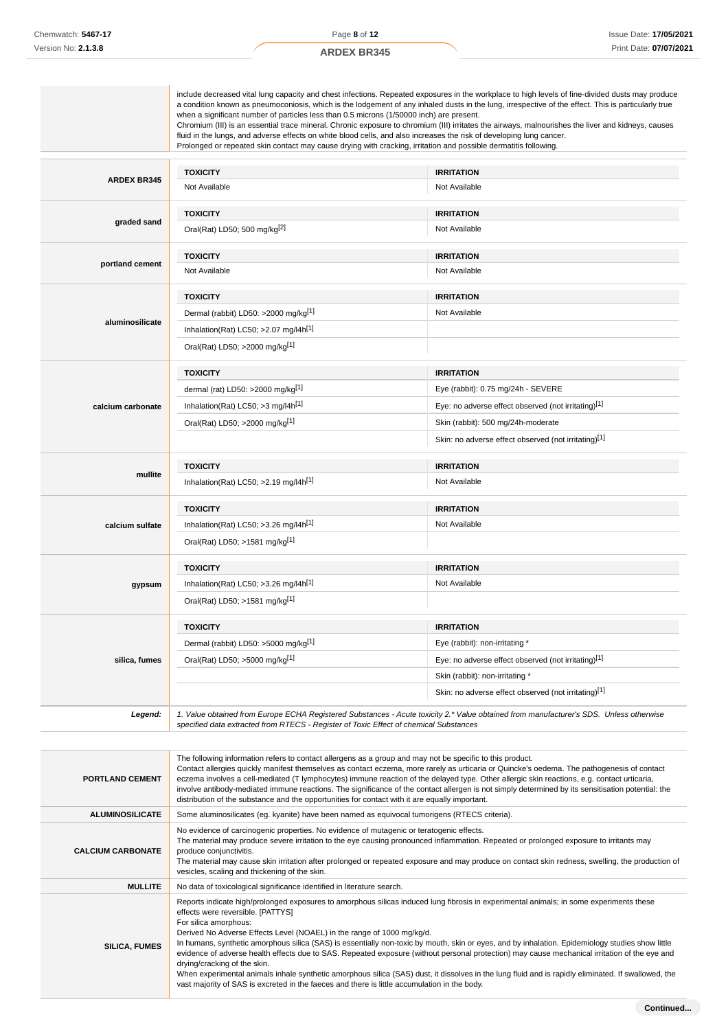|                    | when a significant number of particles less than 0.5 microns (1/50000 inch) are present.<br>fluid in the lungs, and adverse effects on white blood cells, and also increases the risk of developing lung cancer.<br>Prolonged or repeated skin contact may cause drying with cracking, irritation and possible dermatitis following. | a condition known as pneumoconiosis, which is the lodgement of any inhaled dusts in the lung, irrespective of the effect. This is particularly true<br>Chromium (III) is an essential trace mineral. Chronic exposure to chromium (III) irritates the airways, malnourishes the liver and kidneys, causes |
|--------------------|--------------------------------------------------------------------------------------------------------------------------------------------------------------------------------------------------------------------------------------------------------------------------------------------------------------------------------------|-----------------------------------------------------------------------------------------------------------------------------------------------------------------------------------------------------------------------------------------------------------------------------------------------------------|
|                    | <b>TOXICITY</b>                                                                                                                                                                                                                                                                                                                      | <b>IRRITATION</b>                                                                                                                                                                                                                                                                                         |
| <b>ARDEX BR345</b> | Not Available                                                                                                                                                                                                                                                                                                                        | Not Available                                                                                                                                                                                                                                                                                             |
|                    | <b>TOXICITY</b>                                                                                                                                                                                                                                                                                                                      | <b>IRRITATION</b>                                                                                                                                                                                                                                                                                         |
| graded sand        | Oral(Rat) LD50; 500 mg/kg <sup>[2]</sup>                                                                                                                                                                                                                                                                                             | Not Available                                                                                                                                                                                                                                                                                             |
|                    | <b>TOXICITY</b>                                                                                                                                                                                                                                                                                                                      | <b>IRRITATION</b>                                                                                                                                                                                                                                                                                         |
| portland cement    | Not Available                                                                                                                                                                                                                                                                                                                        | Not Available                                                                                                                                                                                                                                                                                             |
|                    | <b>TOXICITY</b>                                                                                                                                                                                                                                                                                                                      | <b>IRRITATION</b>                                                                                                                                                                                                                                                                                         |
|                    | Dermal (rabbit) LD50: >2000 mg/kg <sup>[1]</sup>                                                                                                                                                                                                                                                                                     | Not Available                                                                                                                                                                                                                                                                                             |
| aluminosilicate    | Inhalation(Rat) LC50; >2.07 mg/l4h <sup>[1]</sup>                                                                                                                                                                                                                                                                                    |                                                                                                                                                                                                                                                                                                           |
|                    | Oral(Rat) LD50; >2000 mg/kg <sup>[1]</sup>                                                                                                                                                                                                                                                                                           |                                                                                                                                                                                                                                                                                                           |
|                    | <b>TOXICITY</b>                                                                                                                                                                                                                                                                                                                      | <b>IRRITATION</b>                                                                                                                                                                                                                                                                                         |
|                    | dermal (rat) LD50: >2000 mg/kg[1]                                                                                                                                                                                                                                                                                                    | Eye (rabbit): 0.75 mg/24h - SEVERE                                                                                                                                                                                                                                                                        |
| calcium carbonate  | Inhalation(Rat) LC50; >3 mg/l4h <sup>[1]</sup>                                                                                                                                                                                                                                                                                       | Eye: no adverse effect observed (not irritating)[1]                                                                                                                                                                                                                                                       |
|                    | Oral(Rat) LD50; >2000 mg/kg <sup>[1]</sup>                                                                                                                                                                                                                                                                                           | Skin (rabbit): 500 mg/24h-moderate                                                                                                                                                                                                                                                                        |
|                    |                                                                                                                                                                                                                                                                                                                                      | Skin: no adverse effect observed (not irritating)[1]                                                                                                                                                                                                                                                      |
|                    | <b>TOXICITY</b>                                                                                                                                                                                                                                                                                                                      | <b>IRRITATION</b>                                                                                                                                                                                                                                                                                         |
| mullite            | Inhalation(Rat) LC50; >2.19 mg/l4h <sup>[1]</sup>                                                                                                                                                                                                                                                                                    | Not Available                                                                                                                                                                                                                                                                                             |
|                    | <b>TOXICITY</b>                                                                                                                                                                                                                                                                                                                      | <b>IRRITATION</b>                                                                                                                                                                                                                                                                                         |
| calcium sulfate    | Inhalation(Rat) LC50; >3.26 mg/l4h[1]                                                                                                                                                                                                                                                                                                | Not Available                                                                                                                                                                                                                                                                                             |
|                    | Oral(Rat) LD50; >1581 mg/kg[1]                                                                                                                                                                                                                                                                                                       |                                                                                                                                                                                                                                                                                                           |
|                    | <b>TOXICITY</b>                                                                                                                                                                                                                                                                                                                      | <b>IRRITATION</b>                                                                                                                                                                                                                                                                                         |
| gypsum             | Inhalation(Rat) LC50; >3.26 mg/l4h <sup>[1]</sup>                                                                                                                                                                                                                                                                                    | Not Available                                                                                                                                                                                                                                                                                             |
|                    | Oral(Rat) LD50; >1581 mg/kg[1]                                                                                                                                                                                                                                                                                                       |                                                                                                                                                                                                                                                                                                           |
|                    | <b>TOXICITY</b>                                                                                                                                                                                                                                                                                                                      | <b>IRRITATION</b>                                                                                                                                                                                                                                                                                         |
|                    | Dermal (rabbit) LD50: >5000 mg/kg[1]                                                                                                                                                                                                                                                                                                 | Eye (rabbit): non-irritating *                                                                                                                                                                                                                                                                            |
| silica, fumes      | Oral(Rat) LD50; >5000 mg/kg[1]                                                                                                                                                                                                                                                                                                       | Eye: no adverse effect observed (not irritating)[1]                                                                                                                                                                                                                                                       |
|                    |                                                                                                                                                                                                                                                                                                                                      | Skin (rabbit): non-irritating *                                                                                                                                                                                                                                                                           |
|                    |                                                                                                                                                                                                                                                                                                                                      | Skin: no adverse effect observed (not irritating)[1]                                                                                                                                                                                                                                                      |
| Legend:            |                                                                                                                                                                                                                                                                                                                                      | 1. Value obtained from Europe ECHA Registered Substances - Acute toxicity 2.* Value obtained from manufacturer's SDS. Unless otherwise                                                                                                                                                                    |

| <b>PORTLAND CEMENT</b>   | The following information refers to contact allergens as a group and may not be specific to this product.<br>Contact allergies quickly manifest themselves as contact eczema, more rarely as urticaria or Quincke's oedema. The pathogenesis of contact<br>eczema involves a cell-mediated (T lymphocytes) immune reaction of the delayed type. Other allergic skin reactions, e.g. contact urticaria,<br>involve antibody-mediated immune reactions. The significance of the contact allergen is not simply determined by its sensitisation potential: the<br>distribution of the substance and the opportunities for contact with it are equally important.                                                                                                                                                                                                               |
|--------------------------|-----------------------------------------------------------------------------------------------------------------------------------------------------------------------------------------------------------------------------------------------------------------------------------------------------------------------------------------------------------------------------------------------------------------------------------------------------------------------------------------------------------------------------------------------------------------------------------------------------------------------------------------------------------------------------------------------------------------------------------------------------------------------------------------------------------------------------------------------------------------------------|
| <b>ALUMINOSILICATE</b>   | Some aluminosilicates (eg. kyanite) have been named as equivocal tumorigens (RTECS criteria).                                                                                                                                                                                                                                                                                                                                                                                                                                                                                                                                                                                                                                                                                                                                                                               |
| <b>CALCIUM CARBONATE</b> | No evidence of carcinogenic properties. No evidence of mutagenic or teratogenic effects.<br>The material may produce severe irritation to the eye causing pronounced inflammation. Repeated or prolonged exposure to irritants may<br>produce conjunctivitis.<br>The material may cause skin irritation after prolonged or repeated exposure and may produce on contact skin redness, swelling, the production of<br>vesicles, scaling and thickening of the skin.                                                                                                                                                                                                                                                                                                                                                                                                          |
| <b>MULLITE</b>           | No data of toxicological significance identified in literature search.                                                                                                                                                                                                                                                                                                                                                                                                                                                                                                                                                                                                                                                                                                                                                                                                      |
| <b>SILICA, FUMES</b>     | Reports indicate high/prolonged exposures to amorphous silicas induced lung fibrosis in experimental animals; in some experiments these<br>effects were reversible. [PATTYS]<br>For silica amorphous:<br>Derived No Adverse Effects Level (NOAEL) in the range of 1000 mg/kg/d.<br>In humans, synthetic amorphous silica (SAS) is essentially non-toxic by mouth, skin or eyes, and by inhalation. Epidemiology studies show little<br>evidence of adverse health effects due to SAS. Repeated exposure (without personal protection) may cause mechanical irritation of the eye and<br>drying/cracking of the skin.<br>When experimental animals inhale synthetic amorphous silica (SAS) dust, it dissolves in the lung fluid and is rapidly eliminated. If swallowed, the<br>vast majority of SAS is excreted in the faeces and there is little accumulation in the body. |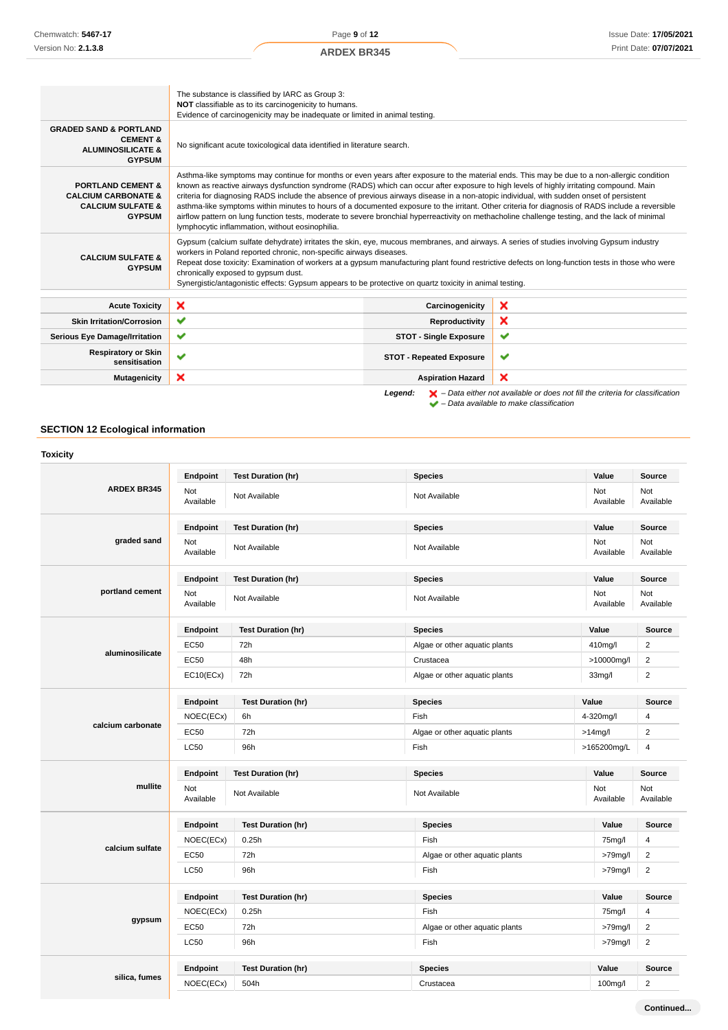Page **9** of **12**

|                                                                                                                 | The substance is classified by IARC as Group 3:<br>NOT classifiable as to its carcinogenicity to humans.<br>Evidence of carcinogenicity may be inadequate or limited in animal testing.                                                                                                                                                                                                                                                                                                                                                                                                                                                                                                                                                                                                      |                                 |                                                                                                                                                                     |
|-----------------------------------------------------------------------------------------------------------------|----------------------------------------------------------------------------------------------------------------------------------------------------------------------------------------------------------------------------------------------------------------------------------------------------------------------------------------------------------------------------------------------------------------------------------------------------------------------------------------------------------------------------------------------------------------------------------------------------------------------------------------------------------------------------------------------------------------------------------------------------------------------------------------------|---------------------------------|---------------------------------------------------------------------------------------------------------------------------------------------------------------------|
| <b>GRADED SAND &amp; PORTLAND</b><br><b>CEMENT &amp;</b><br><b>ALUMINOSILICATE &amp;</b><br><b>GYPSUM</b>       | No significant acute toxicological data identified in literature search.                                                                                                                                                                                                                                                                                                                                                                                                                                                                                                                                                                                                                                                                                                                     |                                 |                                                                                                                                                                     |
| <b>PORTLAND CEMENT &amp;</b><br><b>CALCIUM CARBONATE &amp;</b><br><b>CALCIUM SULFATE &amp;</b><br><b>GYPSUM</b> | Asthma-like symptoms may continue for months or even years after exposure to the material ends. This may be due to a non-allergic condition<br>known as reactive airways dysfunction syndrome (RADS) which can occur after exposure to high levels of highly irritating compound. Main<br>criteria for diagnosing RADS include the absence of previous airways disease in a non-atopic individual, with sudden onset of persistent<br>asthma-like symptoms within minutes to hours of a documented exposure to the irritant. Other criteria for diagnosis of RADS include a reversible<br>airflow pattern on lung function tests, moderate to severe bronchial hyperreactivity on methacholine challenge testing, and the lack of minimal<br>lymphocytic inflammation, without eosinophilia. |                                 |                                                                                                                                                                     |
| <b>CALCIUM SULFATE &amp;</b><br><b>GYPSUM</b>                                                                   | Gypsum (calcium sulfate dehydrate) irritates the skin, eye, mucous membranes, and airways. A series of studies involving Gypsum industry<br>workers in Poland reported chronic, non-specific airways diseases.<br>Repeat dose toxicity: Examination of workers at a gypsum manufacturing plant found restrictive defects on long-function tests in those who were<br>chronically exposed to gypsum dust.<br>Synergistic/antagonistic effects: Gypsum appears to be protective on quartz toxicity in animal testing.                                                                                                                                                                                                                                                                          |                                 |                                                                                                                                                                     |
| <b>Acute Toxicity</b>                                                                                           | ×                                                                                                                                                                                                                                                                                                                                                                                                                                                                                                                                                                                                                                                                                                                                                                                            | Carcinogenicity                 | ×                                                                                                                                                                   |
| <b>Skin Irritation/Corrosion</b>                                                                                | $\checkmark$                                                                                                                                                                                                                                                                                                                                                                                                                                                                                                                                                                                                                                                                                                                                                                                 | Reproductivity                  | ×                                                                                                                                                                   |
| <b>Serious Eye Damage/Irritation</b>                                                                            | ✔                                                                                                                                                                                                                                                                                                                                                                                                                                                                                                                                                                                                                                                                                                                                                                                            | <b>STOT - Single Exposure</b>   | ✔                                                                                                                                                                   |
| <b>Respiratory or Skin</b><br>sensitisation                                                                     | $\checkmark$                                                                                                                                                                                                                                                                                                                                                                                                                                                                                                                                                                                                                                                                                                                                                                                 | <b>STOT - Repeated Exposure</b> | $\checkmark$                                                                                                                                                        |
| Mutagenicity                                                                                                    | ×                                                                                                                                                                                                                                                                                                                                                                                                                                                                                                                                                                                                                                                                                                                                                                                            | <b>Aspiration Hazard</b>        | ×                                                                                                                                                                   |
|                                                                                                                 |                                                                                                                                                                                                                                                                                                                                                                                                                                                                                                                                                                                                                                                                                                                                                                                              | Legend:                         | $\blacktriangleright$ – Data either not available or does not fill the criteria for classification<br>$\blacktriangleright$ - Data available to make classification |

# **SECTION 12 Ecological information**

| <b>ARDEX BR345</b> | Endpoint         | <b>Test Duration (hr)</b> | <b>Species</b>                | Value               | Source           |
|--------------------|------------------|---------------------------|-------------------------------|---------------------|------------------|
|                    | Not<br>Available | Not Available             | Not Available                 | Not<br>Available    | Not<br>Available |
|                    | Endpoint         | <b>Test Duration (hr)</b> | <b>Species</b>                | Value               | Source           |
| graded sand        | Not<br>Available | Not Available             | Not Available                 | Not<br>Available    | Not<br>Available |
|                    | Endpoint         | <b>Test Duration (hr)</b> | <b>Species</b>                | Value               | <b>Source</b>    |
| portland cement    | Not<br>Available | Not Available             | Not Available                 | Not<br>Available    | Not<br>Available |
|                    | Endpoint         | <b>Test Duration (hr)</b> | <b>Species</b>                | Value               | Source           |
|                    | <b>EC50</b>      | 72h                       | Algae or other aquatic plants | 410mg/l             | $\overline{c}$   |
| aluminosilicate    | EC50             | 48h                       | Crustacea                     | >10000mg/l          | $\overline{c}$   |
|                    | EC10(ECx)        | 72h                       | Algae or other aquatic plants | 33 <sub>m</sub> g/l | $\overline{2}$   |
|                    | Endpoint         | <b>Test Duration (hr)</b> | <b>Species</b>                | Value               | <b>Source</b>    |
| calcium carbonate  | NOEC(ECx)        | 6h                        | Fish                          | 4-320mg/l           |                  |
|                    | <b>EC50</b>      | 72h                       | Algae or other aquatic plants | $>14$ mg/l          |                  |
|                    | <b>LC50</b>      | 96h                       | Fish                          | >165200mg/L         | $\overline{4}$   |
|                    | Endpoint         | <b>Test Duration (hr)</b> | <b>Species</b>                | Value               | <b>Source</b>    |
| mullite            | Not<br>Available | Not Available             | Not Available                 | Not<br>Available    | Not<br>Available |
|                    | Endpoint         | <b>Test Duration (hr)</b> | <b>Species</b>                | Value               | <b>Source</b>    |
|                    | NOEC(ECx)        | 0.25h                     | Fish                          | 75mg/l              | 4                |
| calcium sulfate    | EC50             | 72h                       | Algae or other aquatic plants | $>79$ mg/l          |                  |
|                    | <b>LC50</b>      | 96h                       | Fish                          | $>79$ mg/l          |                  |
|                    | Endpoint         | <b>Test Duration (hr)</b> | <b>Species</b>                | Value               |                  |
|                    | NOEC(ECx)        | 0.25h                     | Fish                          | 75mg/l              | $\overline{4}$   |
|                    |                  | 72h                       | Algae or other aquatic plants | $>79$ mg/l          | $\overline{2}$   |
| gypsum             | EC50             |                           |                               |                     |                  |
|                    | <b>LC50</b>      | 96h                       | Fish                          | $>79$ mg/l          | 2                |
| silica, fumes      | Endpoint         | <b>Test Duration (hr)</b> | <b>Species</b>                | Value               | <b>Source</b>    |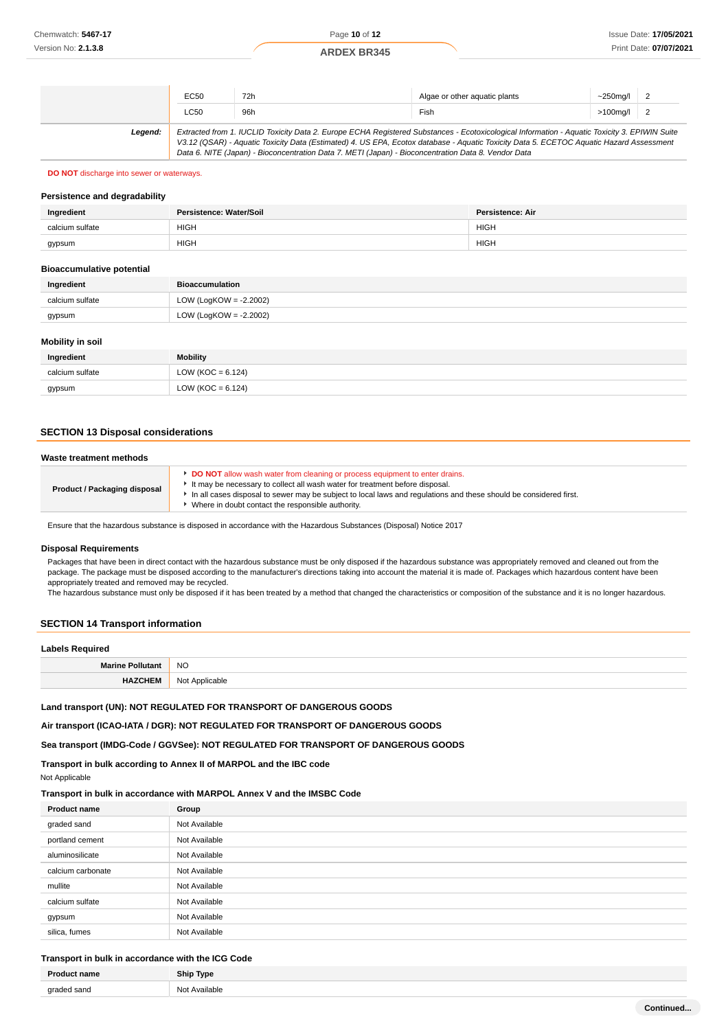|         | EC50 | 72h                                                                                                 | Algae or other aquatic plants                                                                                                                                                                                                                                                            | $\sim$ 250ma/l |  |
|---------|------|-----------------------------------------------------------------------------------------------------|------------------------------------------------------------------------------------------------------------------------------------------------------------------------------------------------------------------------------------------------------------------------------------------|----------------|--|
|         | LC50 | 96h                                                                                                 | Fish                                                                                                                                                                                                                                                                                     | $>100$ mg/l    |  |
| Leaend: |      | Data 6. NITE (Japan) - Bioconcentration Data 7. METI (Japan) - Bioconcentration Data 8. Vendor Data | Extracted from 1. IUCLID Toxicity Data 2. Europe ECHA Registered Substances - Ecotoxicological Information - Aquatic Toxicity 3. EPIWIN Suite<br>V3.12 (QSAR) - Aquatic Toxicity Data (Estimated) 4. US EPA, Ecotox database - Aquatic Toxicity Data 5. ECETOC Aquatic Hazard Assessment |                |  |

### **DO NOT** discharge into sewer or waterways.

### **Persistence and degradability**

| Ingredient      | Persistence: Water/Soil | <b>Persistence: Air</b> |
|-----------------|-------------------------|-------------------------|
| calcium sulfate | <b>HIGH</b>             | <b>HIGH</b>             |
| gypsum          | <b>HIGH</b>             | <b>HIGH</b>             |

#### **Bioaccumulative potential**

| Ingredient      | Bioaccumulation           |
|-----------------|---------------------------|
| calcium sulfate | LOW (LogKOW = $-2.2002$ ) |
| gypsum          | LOW (LogKOW = -2.2002)    |

### **Mobility in soil**

| Ingredient      | <b>Mobility</b>       |
|-----------------|-----------------------|
| calcium sulfate | LOW ( $KOC = 6.124$ ) |
| gypsum          | LOW (KOC = $6.124$ )  |

### **SECTION 13 Disposal considerations**

| Waste treatment methods             |                                                                                                                                                                                                                                                                                                                                              |  |
|-------------------------------------|----------------------------------------------------------------------------------------------------------------------------------------------------------------------------------------------------------------------------------------------------------------------------------------------------------------------------------------------|--|
| <b>Product / Packaging disposal</b> | <b>DO NOT</b> allow wash water from cleaning or process equipment to enter drains.<br>It may be necessary to collect all wash water for treatment before disposal.<br>In all cases disposal to sewer may be subject to local laws and regulations and these should be considered first.<br>Where in doubt contact the responsible authority. |  |

Ensure that the hazardous substance is disposed in accordance with the Hazardous Substances (Disposal) Notice 2017

#### **Disposal Requirements**

Packages that have been in direct contact with the hazardous substance must be only disposed if the hazardous substance was appropriately removed and cleaned out from the package. The package must be disposed according to the manufacturer's directions taking into account the material it is made of. Packages which hazardous content have been appropriately treated and removed may be recycled.

The hazardous substance must only be disposed if it has been treated by a method that changed the characteristics or composition of the substance and it is no longer hazardous.

# **SECTION 14 Transport information**

### **Labels Required**

| ------------- |                             |  |
|---------------|-----------------------------|--|
| Marine        | <b>NO</b>                   |  |
| <b>HAZCHE</b> | Not Annlicable<br>avıc<br>w |  |
|               |                             |  |

**Land transport (UN): NOT REGULATED FOR TRANSPORT OF DANGEROUS GOODS**

**Air transport (ICAO-IATA / DGR): NOT REGULATED FOR TRANSPORT OF DANGEROUS GOODS**

**Sea transport (IMDG-Code / GGVSee): NOT REGULATED FOR TRANSPORT OF DANGEROUS GOODS**

**Transport in bulk according to Annex II of MARPOL and the IBC code**

Not Applicable

### **Transport in bulk in accordance with MARPOL Annex V and the IMSBC Code**

| <b>Product name</b> | Group         |
|---------------------|---------------|
| graded sand         | Not Available |
| portland cement     | Not Available |
| aluminosilicate     | Not Available |
| calcium carbonate   | Not Available |
| mullite             | Not Available |
| calcium sulfate     | Not Available |
| gypsum              | Not Available |
| silica, fumes       | Not Available |

# **Transport in bulk in accordance with the ICG Code**

|                                     | Tvne<br>,,,, |
|-------------------------------------|--------------|
| $\alpha$ ra<br>nnc<br>$\sim$ $\sim$ | $\sim$       |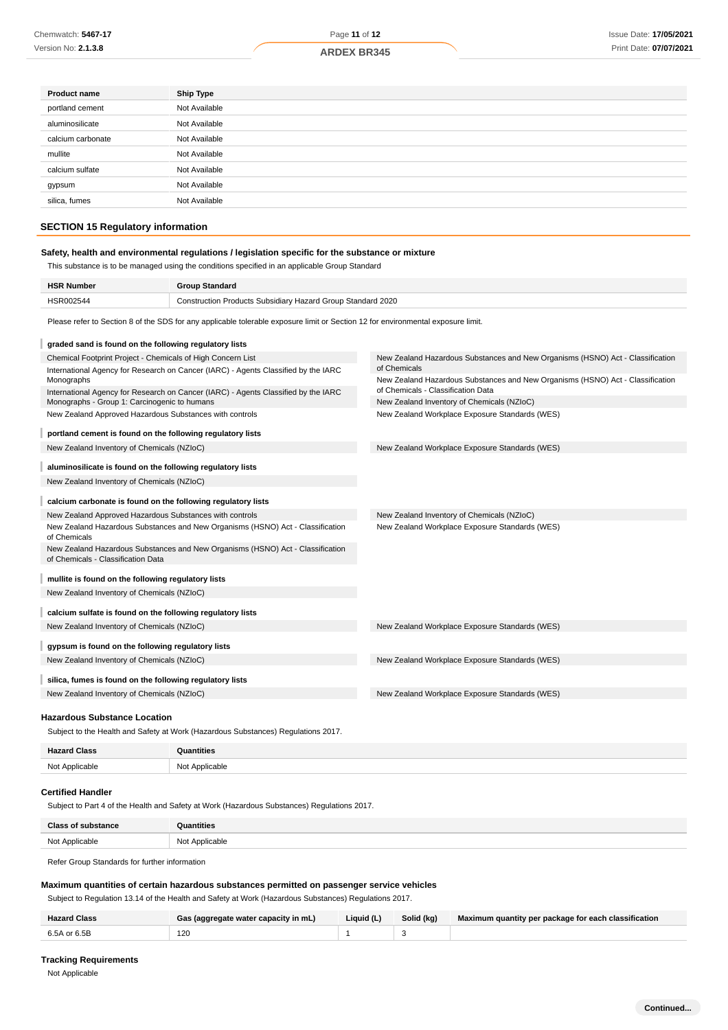| <b>ARDEX BR3</b> |  |
|------------------|--|
|                  |  |

| <b>Product name</b> | <b>Ship Type</b> |
|---------------------|------------------|
| portland cement     | Not Available    |
| aluminosilicate     | Not Available    |
| calcium carbonate   | Not Available    |
| mullite             | Not Available    |
| calcium sulfate     | Not Available    |
| gypsum              | Not Available    |
| silica, fumes       | Not Available    |
|                     |                  |

# **SECTION 15 Regulatory information**

### **Safety, health and environmental regulations / legislation specific for the substance or mixture**

This substance is to be managed using the conditions specified in an applicable Group Standard

| <b>HSR Number</b> | *roup Standard                                              |
|-------------------|-------------------------------------------------------------|
| <b>HSR002544</b>  | Construction Products Subsidiary Hazard Group Standard 2020 |

Please refer to Section 8 of the SDS for any applicable tolerable exposure limit or Section 12 for environmental exposure limit.

| graded sand is found on the following regulatory lists                                                                             |                                                                                                                      |
|------------------------------------------------------------------------------------------------------------------------------------|----------------------------------------------------------------------------------------------------------------------|
| Chemical Footprint Project - Chemicals of High Concern List                                                                        | New Zealand Hazardous Substances and New Organisms (HSNO) Act - Classification                                       |
| International Agency for Research on Cancer (IARC) - Agents Classified by the IARC                                                 | of Chemicals                                                                                                         |
| Monographs                                                                                                                         | New Zealand Hazardous Substances and New Organisms (HSNO) Act - Classification<br>of Chemicals - Classification Data |
| International Agency for Research on Cancer (IARC) - Agents Classified by the IARC<br>Monographs - Group 1: Carcinogenic to humans | New Zealand Inventory of Chemicals (NZIoC)                                                                           |
| New Zealand Approved Hazardous Substances with controls                                                                            | New Zealand Workplace Exposure Standards (WES)                                                                       |
|                                                                                                                                    |                                                                                                                      |
| portland cement is found on the following regulatory lists                                                                         |                                                                                                                      |
| New Zealand Inventory of Chemicals (NZIoC)                                                                                         | New Zealand Workplace Exposure Standards (WES)                                                                       |
| aluminosilicate is found on the following regulatory lists                                                                         |                                                                                                                      |
| New Zealand Inventory of Chemicals (NZIoC)                                                                                         |                                                                                                                      |
|                                                                                                                                    |                                                                                                                      |
| calcium carbonate is found on the following regulatory lists                                                                       |                                                                                                                      |
| New Zealand Approved Hazardous Substances with controls                                                                            | New Zealand Inventory of Chemicals (NZIoC)                                                                           |
| New Zealand Hazardous Substances and New Organisms (HSNO) Act - Classification<br>of Chemicals                                     | New Zealand Workplace Exposure Standards (WES)                                                                       |
| New Zealand Hazardous Substances and New Organisms (HSNO) Act - Classification<br>of Chemicals - Classification Data               |                                                                                                                      |
|                                                                                                                                    |                                                                                                                      |
| mullite is found on the following regulatory lists                                                                                 |                                                                                                                      |
| New Zealand Inventory of Chemicals (NZIoC)                                                                                         |                                                                                                                      |
| calcium sulfate is found on the following regulatory lists                                                                         |                                                                                                                      |
| New Zealand Inventory of Chemicals (NZIoC)                                                                                         | New Zealand Workplace Exposure Standards (WES)                                                                       |
|                                                                                                                                    |                                                                                                                      |
| gypsum is found on the following regulatory lists                                                                                  |                                                                                                                      |
| New Zealand Inventory of Chemicals (NZIoC)                                                                                         | New Zealand Workplace Exposure Standards (WES)                                                                       |
| silica, fumes is found on the following regulatory lists                                                                           |                                                                                                                      |
| New Zealand Inventory of Chemicals (NZIoC)                                                                                         | New Zealand Workplace Exposure Standards (WES)                                                                       |
|                                                                                                                                    |                                                                                                                      |

# **Hazardous Substance Location**

Subject to the Health and Safety at Work (Hazardous Substances) Regulations 2017.

| <b>Hazard Class</b> | Quantities     |
|---------------------|----------------|
| Not Applicable      | Not Applicable |

#### **Certified Handler**

Subject to Part 4 of the Health and Safety at Work (Hazardous Substances) Regulations 2017.

| <b>Class of substance</b> | Quantities     |
|---------------------------|----------------|
| Not Applicable            | Not Applicable |

Refer Group Standards for further information

### **Maximum quantities of certain hazardous substances permitted on passenger service vehicles**

Subject to Regulation 13.14 of the Health and Safety at Work (Hazardous Substances) Regulations 2017.

| <b>Hazard Class</b> | Gas (aggregate water capacity in mL) | Liquid (L) | Solid (kg) | Maximum quantity per package for each classification |
|---------------------|--------------------------------------|------------|------------|------------------------------------------------------|
| 6.5A or 6.5B        | 120                                  |            |            |                                                      |

### **Tracking Requirements**

Not Applicable